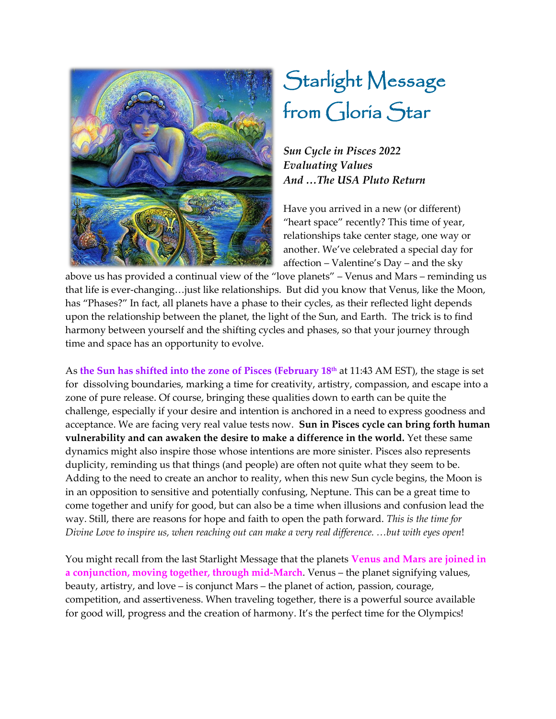

## Starlight Message from Gloria Star

*Sun Cycle in Pisces 2022 Evaluating Values And …The USA Pluto Return*

Have you arrived in a new (or different) "heart space" recently? This time of year, relationships take center stage, one way or another. We've celebrated a special day for affection  $-$  Valentine's Day  $-$  and the sky

above us has provided a continual view of the "love planets" - Venus and Mars - reminding us that life is ever-changing...just like relationships. But did you know that Venus, like the Moon, has "Phases?" In fact, all planets have a phase to their cycles, as their reflected light depends upon the relationship between the planet, the light of the Sun, and Earth. The trick is to find harmony between yourself and the shifting cycles and phases, so that your journey through time and space has an opportunity to evolve.

As **the Sun has shifted into the zone of Pisces (February 18th** at 11:43 AM EST), the stage is set for dissolving boundaries, marking a time for creativity, artistry, compassion, and escape into a zone of pure release. Of course, bringing these qualities down to earth can be quite the challenge, especially if your desire and intention is anchored in a need to express goodness and acceptance. We are facing very real value tests now. **Sun in Pisces cycle can bring forth human vulnerability and can awaken the desire to make a difference in the world.** Yet these same dynamics might also inspire those whose intentions are more sinister. Pisces also represents duplicity, reminding us that things (and people) are often not quite what they seem to be. Adding to the need to create an anchor to reality, when this new Sun cycle begins, the Moon is in an opposition to sensitive and potentially confusing, Neptune. This can be a great time to come together and unify for good, but can also be a time when illusions and confusion lead the way. Still, there are reasons for hope and faith to open the path forward. *This is the time for Divine Love to inspire us, when reaching out can make a very real difference. ...but with eyes open!* 

You might recall from the last Starlight Message that the planets **Venus and Mars are joined in**  a conjunction, moving together, through mid-March. Venus – the planet signifying values, beauty, artistry, and love – is conjunct Mars – the planet of action, passion, courage, competition, and assertiveness. When traveling together, there is a powerful source available for good will, progress and the creation of harmony. It's the perfect time for the Olympics!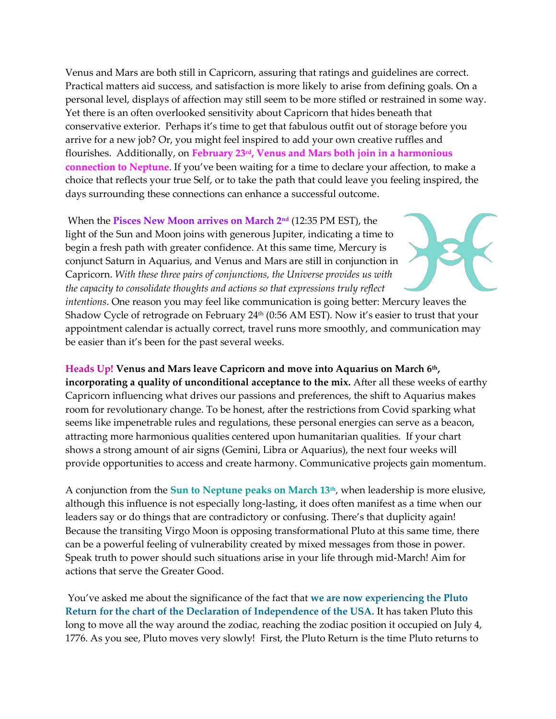Venus and Mars are both still in Capricorn, assuring that ratings and guidelines are correct. Practical matters aid success, and satisfaction is more likely to arise from defining goals. On a personal level, displays of affection may still seem to be more stifled or restrained in some way. Yet there is an often overlooked sensitivity about Capricorn that hides beneath that conservative exterior. Perhaps it's time to get that fabulous outfit out of storage before you arrive for a new job? Or, you might feel inspired to add your own creative ruffles and flourishes. Additionally, on **February 23rd, Venus and Mars both join in a harmonious connection to Neptune**. If you've been waiting for a time to declare your affection, to make a choice that reflects your true Self, or to take the path that could leave you feeling inspired, the days surrounding these connections can enhance a successful outcome.

When the **Pisces New Moon arrives on March 2nd** (12:35 PM EST), the light of the Sun and Moon joins with generous Jupiter, indicating a time to begin a fresh path with greater confidence. At this same time, Mercury is conjunct Saturn in Aquarius, and Venus and Mars are still in conjunction in Capricorn. *With these three pairs of conjunctions, the Universe provides us with the capacity to consolidate thoughts and actions so that expressions truly reflect* 

*intentions*. One reason you may feel like communication is going better: Mercury leaves the Shadow Cycle of retrograde on February  $24<sup>th</sup>$  (0:56 AM EST). Now it's easier to trust that your appointment calendar is actually correct, travel runs more smoothly, and communication may be easier than it's been for the past several weeks.

## **Heads Up! Venus and Mars leave Capricorn and move into Aquarius on March 6th,**

**incorporating a quality of unconditional acceptance to the mix.** After all these weeks of earthy Capricorn influencing what drives our passions and preferences, the shift to Aquarius makes room for revolutionary change. To be honest, after the restrictions from Covid sparking what seems like impenetrable rules and regulations, these personal energies can serve as a beacon, attracting more harmonious qualities centered upon humanitarian qualities. If your chart shows a strong amount of air signs (Gemini, Libra or Aquarius), the next four weeks will provide opportunities to access and create harmony. Communicative projects gain momentum.

A conjunction from the **Sun to Neptune peaks on March 13th**, when leadership is more elusive, although this influence is not especially long-lasting, it does often manifest as a time when our leaders say or do things that are contradictory or confusing. There's that duplicity again! Because the transiting Virgo Moon is opposing transformational Pluto at this same time, there can be a powerful feeling of vulnerability created by mixed messages from those in power. Speak truth to power should such situations arise in your life through mid-March! Aim for actions that serve the Greater Good.

You've asked me about the significance of the fact that we are now experiencing the Pluto **Return for the chart of the Declaration of Independence of the USA.** It has taken Pluto this long to move all the way around the zodiac, reaching the zodiac position it occupied on July 4, 1776. As you see, Pluto moves very slowly! First, the Pluto Return is the time Pluto returns to